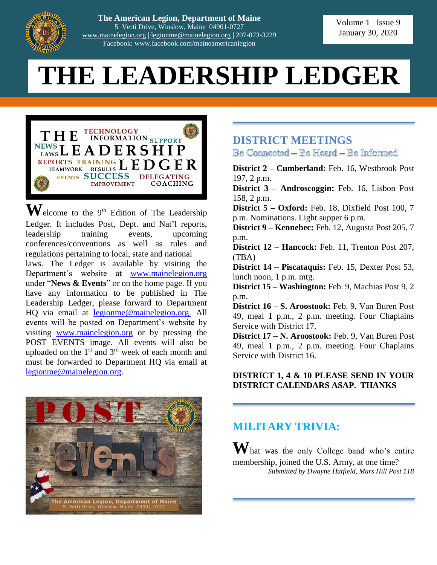

**The American Legion, Department of Maine** 5 Verti Drive, Winslow, Maine 04901-0727 [www.mainelegion.org](http://www.mainelegion.org/) | [legionme@mainelegion.org](mailto:legionme@mainelegion.org) | 207-873-3229 Facebook: www.facebook.com/maineamericanlegion

# **THE LEADERSHIP LEDGER**



 $\mathbf{W}$ elcome to the 9<sup>th</sup> Edition of The Leadership Ledger. It includes Post, Dept. and Nat'l reports, leadership training events, upcoming conferences/conventions as well as rules and regulations pertaining to local, state and national laws. The Ledger is available by visiting the Department's website at [www.mainelegion.org](http://www.mainelegion.org/) under "**News & Events**" or on the home page. If you have any information to be published in The Leadership Ledger, please forward to Department HQ via email at [legionme@mainelegion.org.](mailto:legionme@mainelegion.org) All events will be posted on Department's website by visiting [www.mainelegion.org](http://www.mainelegion.org/) or by pressing the POST EVENTS image. All events will also be uploaded on the  $1<sup>st</sup>$  and  $3<sup>rd</sup>$  week of each month and must be forwarded to Department HQ via email at [legionme@mainelegion.org.](mailto:legionme@mainelegion.org)



#### **DISTRICT MEETINGS** Be Connected – Be Heard – Be Informed

**District 2 – Cumberland:** Feb. 16, Westbrook Post 197, 2 p.m.

**District 3 – Androscoggin:** Feb. 16, Lisbon Post 158, 2 p.m.

**District 5 – Oxford:** Feb. 18, Dixfield Post 100, 7 p.m. Nominations. Light supper 6 p.m.

**District 9 – Kennebec:** Feb. 12, Augusta Post 205, 7 p.m.

**District 12 – Hancock:** Feb. 11, Trenton Post 207, (TBA)

**District 14 – Piscataquis:** Feb. 15, Dexter Post 53, lunch noon, 1 p.m. mtg.

**District 15 – Washington:** Feb. 9, Machias Post 9, 2 p.m.

**District 16 – S. Aroostook:** Feb. 9, Van Buren Post 49, meal 1 p.m., 2 p.m. meeting. Four Chaplains Service with District 17.

**District 17 – N. Aroostook:** Feb. 9, Van Buren Post 49, meal 1 p.m., 2 p.m. meeting. Four Chaplains Service with District 16.

#### **DISTRICT 1, 4 & 10 PLEASE SEND IN YOUR DISTRICT CALENDARS ASAP. THANKS**

#### **MILITARY TRIVIA:**

**W**hat was the only College band who's entire membership, joined the U.S. Army, at one time? *Submitted by Dwayne Hatfield, Mars Hill Post 118*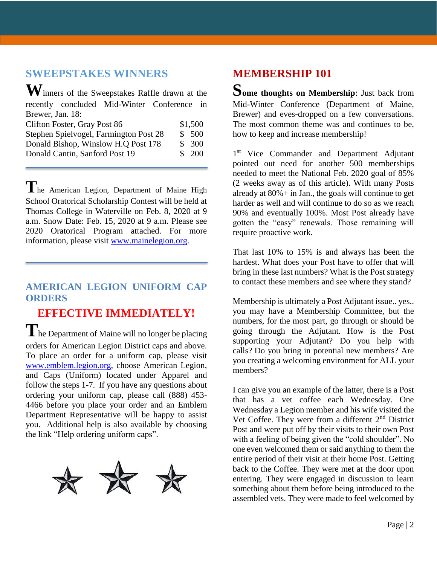#### **SWEEPSTAKES WINNERS**

| Winners of the Sweepstakes Raffle drawn at the |         |
|------------------------------------------------|---------|
| recently concluded Mid-Winter Conference in    |         |
| Brewer, Jan. 18:                               |         |
| Clifton Foster, Gray Post 86                   | \$1,500 |
| Stephen Spielvogel, Farmington Post 28         | \$500   |
| Donald Bishop, Winslow H.Q Post 178            | \$300   |
| Donald Cantin, Sanford Post 19                 | \$200   |
|                                                |         |

**T**he American Legion, Department of Maine High School Oratorical Scholarship Contest will be held at Thomas College in Waterville on Feb. 8, 2020 at 9 a.m. Snow Date: Feb. 15, 2020 at 9 a.m. Please see 2020 Oratorical Program attached. For more information, please visit [www.mainelegion.org.](http://www.mainelegion.org/)

#### **AMERICAN LEGION UNIFORM CAP ORDERS**

### **EFFECTIVE IMMEDIATELY!**

**T**he Department of Maine will no longer be placing orders for American Legion District caps and above. To place an order for a uniform cap, please visit [www.emblem.legion.org,](http://www.emblem.legion.org/) choose American Legion, and Caps (Uniform) located under Apparel and follow the steps 1-7. If you have any questions about ordering your uniform cap, please call (888) 453- 4466 before you place your order and an Emblem Department Representative will be happy to assist you. Additional help is also available by choosing the link "Help ordering uniform caps".



## **MEMBERSHIP 101**

**Some thoughts on Membership**: Just back from Mid-Winter Conference (Department of Maine, Brewer) and eves-dropped on a few conversations. The most common theme was and continues to be, how to keep and increase membership!

1<sup>st</sup> Vice Commander and Department Adjutant pointed out need for another 500 memberships needed to meet the National Feb. 2020 goal of 85% (2 weeks away as of this article). With many Posts already at  $80\%$  + in Jan., the goals will continue to get harder as well and will continue to do so as we reach 90% and eventually 100%. Most Post already have gotten the "easy" renewals. Those remaining will require proactive work.

That last 10% to 15% is and always has been the hardest. What does your Post have to offer that will bring in these last numbers? What is the Post strategy to contact these members and see where they stand?

Membership is ultimately a Post Adjutant issue.. yes.. you may have a Membership Committee, but the numbers, for the most part, go through or should be going through the Adjutant. How is the Post supporting your Adjutant? Do you help with calls? Do you bring in potential new members? Are you creating a welcoming environment for ALL your members?

I can give you an example of the latter, there is a Post that has a vet coffee each Wednesday. One Wednesday a Legion member and his wife visited the Vet Coffee. They were from a different  $2<sup>nd</sup>$  District Post and were put off by their visits to their own Post with a feeling of being given the "cold shoulder". No one even welcomed them or said anything to them the entire period of their visit at their home Post. Getting back to the Coffee. They were met at the door upon entering. They were engaged in discussion to learn something about them before being introduced to the assembled vets. They were made to feel welcomed by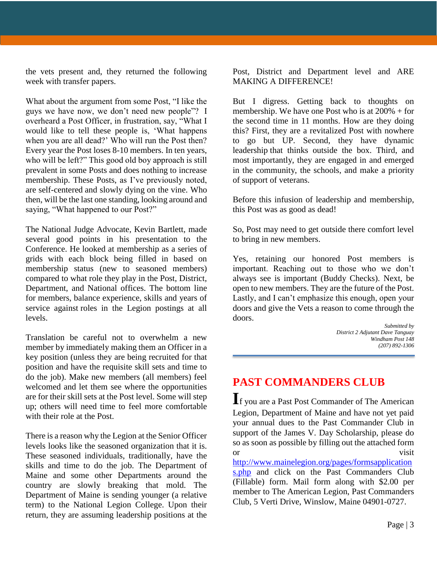the vets present and, they returned the following week with transfer papers.

What about the argument from some Post, "I like the guys we have now, we don't need new people"? I overheard a Post Officer, in frustration, say, "What I would like to tell these people is, 'What happens when you are all dead?' Who will run the Post then? Every year the Post loses 8-10 members. In ten years, who will be left?" This good old boy approach is still prevalent in some Posts and does nothing to increase membership. These Posts, as I've previously noted, are self-centered and slowly dying on the vine. Who then, will be the last one standing, looking around and saying, "What happened to our Post?"

The National Judge Advocate, Kevin Bartlett, made several good points in his presentation to the Conference. He looked at membership as a series of grids with each block being filled in based on membership status (new to seasoned members) compared to what role they play in the Post, District, Department, and National offices. The bottom line for members, balance experience, skills and years of service against roles in the Legion postings at all levels.

Translation be careful not to overwhelm a new member by immediately making them an Officer in a key position (unless they are being recruited for that position and have the requisite skill sets and time to do the job). Make new members (all members) feel welcomed and let them see where the opportunities are for their skill sets at the Post level. Some will step up; others will need time to feel more comfortable with their role at the Post.

There is a reason why the Legion at the Senior Officer levels looks like the seasoned organization that it is. These seasoned individuals, traditionally, have the skills and time to do the job. The Department of Maine and some other Departments around the country are slowly breaking that mold. The Department of Maine is sending younger (a relative term) to the National Legion College. Upon their return, they are assuming leadership positions at the

Post, District and Department level and ARE MAKING A DIFFERENCE!

But I digress. Getting back to thoughts on membership. We have one Post who is at 200% + for the second time in 11 months. How are they doing this? First, they are a revitalized Post with nowhere to go but UP. Second, they have dynamic leadership that thinks outside the box. Third, and most importantly, they are engaged in and emerged in the community, the schools, and make a priority of support of veterans.

Before this infusion of leadership and membership, this Post was as good as dead!

So, Post may need to get outside there comfort level to bring in new members.

Yes, retaining our honored Post members is important. Reaching out to those who we don't always see is important (Buddy Checks). Next, be open to new members. They are the future of the Post. Lastly, and I can't emphasize this enough, open your doors and give the Vets a reason to come through the doors.

*Submitted by District 2 Adjutant Dave Tanguay Windham Post 148 (207) 892-1306*

## **PAST COMMANDERS CLUB**

**I**f you are a Past Post Commander of The American Legion, Department of Maine and have not yet paid your annual dues to the Past Commander Club in support of the James V. Day Scholarship, please do so as soon as possible by filling out the attached form or visit

[http://www.mainelegion.org/pages/formsapplication](http://www.mainelegion.org/pages/formsapplications.php) [s.php](http://www.mainelegion.org/pages/formsapplications.php) and click on the Past Commanders Club (Fillable) form. Mail form along with \$2.00 per member to The American Legion, Past Commanders Club, 5 Verti Drive, Winslow, Maine 04901-0727.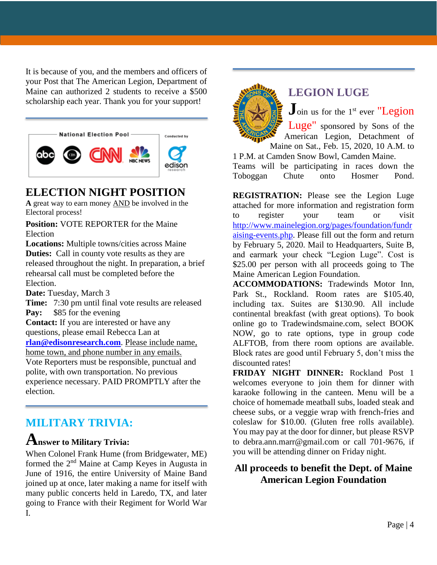It is because of you, and the members and officers of your Post that The American Legion, Department of Maine can authorized 2 students to receive a \$500 scholarship each year. Thank you for your support!



#### **ELECTION NIGHT POSITION**

**A** great way to earn money AND be involved in the Electoral process!

**Position:** VOTE REPORTER for the Maine Election

**Locations:** Multiple towns/cities across Maine **Duties:** Call in county vote results as they are released throughout the night. In preparation, a brief rehearsal call must be completed before the Election.

**Date:** Tuesday, March 3

**Time:** 7:30 pm until final vote results are released **Pay:** \$85 for the evening **Contact:** If you are interested or have any questions, please email Rebecca Lan at **[rlan@edisonresearch.com](mailto:rlan@edisonresearch.com)**. Please include name, home town, and phone number in any emails. Vote Reporters must be responsible, punctual and polite, with own transportation. No previous experience necessary. PAID PROMPTLY after the election.

#### **MILITARY TRIVIA:**

#### **Answer to Military Trivia:**

When Colonel Frank Hume (from Bridgewater, ME) formed the 2nd Maine at Camp Keyes in Augusta in June of 1916, the entire University of Maine Band joined up at once, later making a name for itself with many public concerts held in Laredo, TX, and later going to France with their Regiment for World War I.



#### **LEGION LUGE**

**J**oin us for the 1<sup>st</sup> ever "Legion"

Luge" sponsored by Sons of the American Legion, Detachment of Maine on Sat., Feb. 15, 2020, 10 A.M. to

1 P.M. at Camden Snow Bowl, Camden Maine.

Teams will be participating in races down the Toboggan Chute onto Hosmer Pond.

**REGISTRATION:** Please see the Legion Luge attached for more information and registration form to register your team or visit [http://www.mainelegion.org/pages/foundation/fundr](http://www.mainelegion.org/pages/foundation/fundraising-events.php) [aising-events.php.](http://www.mainelegion.org/pages/foundation/fundraising-events.php) Please fill out the form and return by February 5, 2020. Mail to Headquarters, Suite B, and earmark your check "Legion Luge". Cost is \$25.00 per person with all proceeds going to The Maine American Legion Foundation.

**ACCOMMODATIONS:** Tradewinds Motor Inn, Park St., Rockland. Room rates are \$105.40, including tax. Suites are \$130.90. All include continental breakfast (with great options). To book online go to Tradewindsmaine.com, select BOOK NOW, go to rate options, type in group code ALFTOB, from there room options are available. Block rates are good until February 5, don't miss the discounted rates!

**FRIDAY NIGHT DINNER:** Rockland Post 1 welcomes everyone to join them for dinner with karaoke following in the canteen. Menu will be a choice of homemade meatball subs, loaded steak and cheese subs, or a veggie wrap with french-fries and coleslaw for \$10.00. (Gluten free rolls available). You may pay at the door for dinner, but please RSVP to debra.ann.marr@gmail.com or call 701-9676, if you will be attending dinner on Friday night.

#### **All proceeds to benefit the Dept. of Maine American Legion Foundation**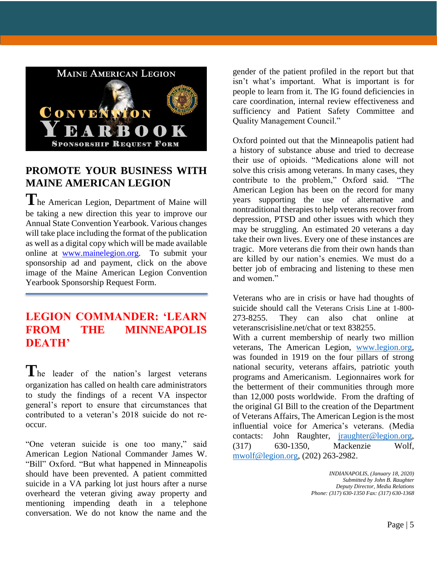

#### **PROMOTE YOUR BUSINESS WITH MAINE AMERICAN LEGION**

**T**he American Legion, Department of Maine will be taking a new direction this year to improve our Annual State Convention Yearbook. Various changes will take place including the format of the publication as well as a digital copy which will be made available online at [www.mainelegion.org.](http://www.mainelegion.org/) To submit your sponsorship ad and payment, click on the above image of the Maine American Legion Convention Yearbook Sponsorship Request Form.

#### **LEGION COMMANDER: 'LEARN FROM THE MINNEAPOLIS DEATH'**

The leader of the nation's largest veterans organization has called on health care administrators to study the findings of a recent VA inspector general's report to ensure that circumstances that contributed to a veteran's 2018 suicide do not reoccur.

"One veteran suicide is one too many," said American Legion National Commander James W. "Bill" Oxford. "But what happened in Minneapolis should have been prevented. A patient committed suicide in a VA parking lot just hours after a nurse overheard the veteran giving away property and mentioning impending death in a telephone conversation. We do not know the name and the

gender of the patient profiled in the report but that isn't what's important. What is important is for people to learn from it. The IG found deficiencies in care coordination, internal review effectiveness and sufficiency and Patient Safety Committee and Quality Management Council."

Oxford pointed out that the Minneapolis patient had a history of substance abuse and tried to decrease their use of opioids. "Medications alone will not solve this crisis among veterans. In many cases, they contribute to the problem," Oxford said. "The American Legion has been on the record for many years supporting the use of alternative and nontraditional therapies to help veterans recover from depression, PTSD and other issues with which they may be struggling. An estimated 20 veterans a day take their own lives. Every one of these instances are tragic. More veterans die from their own hands than are killed by our nation's enemies. We must do a better job of embracing and listening to these men and women."

Veterans who are in crisis or have had thoughts of suicide should call the Veterans Crisis Line at 1-800- 273-8255. They can also chat online at veteranscrisisline.net/chat or text 838255.

With a current membership of nearly two million veterans, The American Legion, [www.legion.org,](http://www.legion.org/) was founded in 1919 on the four pillars of strong national security, veterans affairs, patriotic youth programs and Americanism. Legionnaires work for the betterment of their communities through more than 12,000 posts worldwide. From the drafting of the original GI Bill to the creation of the Department of Veterans Affairs, The American Legion is the most influential voice for America's veterans. (Media contacts: John Raughter, [jraughter@legion.org,](mailto:jraughter@legion.org) (317) 630-1350, Mackenzie Wolf, [mwolf@legion.org,](mailto:mwolf@legion.org) (202) 263-2982.

> *INDIANAPOLIS, (January 18, 2020) Submitted by John B. Raughter Deputy Director, Media Relations Phone: (317) 630-1350 Fax: (317) 630-1368*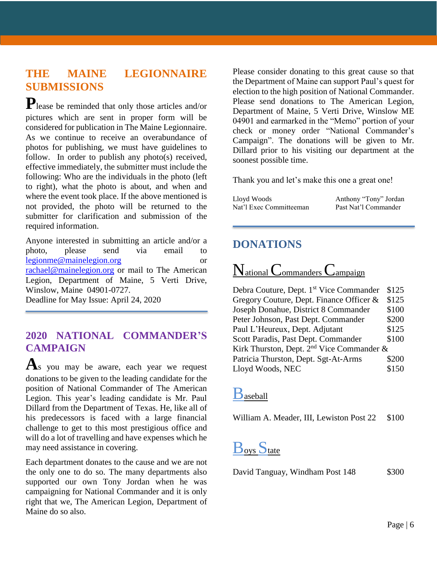#### **THE MAINE LEGIONNAIRE SUBMISSIONS**

**P**lease be reminded that only those articles and/or pictures which are sent in proper form will be considered for publication in The Maine Legionnaire. As we continue to receive an overabundance of photos for publishing, we must have guidelines to follow. In order to publish any photo(s) received, effective immediately, the submitter must include the following: Who are the individuals in the photo (left to right), what the photo is about, and when and where the event took place. If the above mentioned is not provided, the photo will be returned to the submitter for clarification and submission of the required information.

Anyone interested in submitting an article and/or a photo, please send via email to [legionme@mainelegion.org](mailto:legionme@mainelegion.org) or [rachael@mainelegion.org](mailto:rachael@mainelegion.org) or mail to The American Legion, Department of Maine, 5 Verti Drive, Winslow, Maine 04901-0727.

#### Deadline for May Issue: April 24, 2020

#### **2020 NATIONAL COMMANDER'S CAMPAIGN**

**A**s you may be aware, each year we request donations to be given to the leading candidate for the position of National Commander of The American Legion. This year's leading candidate is Mr. Paul Dillard from the Department of Texas. He, like all of his predecessors is faced with a large financial challenge to get to this most prestigious office and will do a lot of travelling and have expenses which he may need assistance in covering.

Each department donates to the cause and we are not the only one to do so. The many departments also supported our own Tony Jordan when he was campaigning for National Commander and it is only right that we, The American Legion, Department of Maine do so also.

Please consider donating to this great cause so that the Department of Maine can support Paul's quest for election to the high position of National Commander. Please send donations to The American Legion, Department of Maine, 5 Verti Drive, Winslow ME 04901 and earmarked in the "Memo" portion of your check or money order "National Commander's Campaign". The donations will be given to Mr. Dillard prior to his visiting our department at the soonest possible time.

Thank you and let's make this one a great one!

| Lloyd Woods             | Anthony "Tony" Jordan |
|-------------------------|-----------------------|
| Nat'l Exec Committeeman | Past Nat'l Commander  |

#### **DONATIONS**

National Commanders Campaign

| Debra Couture, Dept. 1 <sup>st</sup> Vice Commander | \$125 |  |
|-----------------------------------------------------|-------|--|
| Gregory Couture, Dept. Finance Officer &            | \$125 |  |
| Joseph Donahue, District 8 Commander                | \$100 |  |
| Peter Johnson, Past Dept. Commander                 | \$200 |  |
| Paul L'Heureux, Dept. Adjutant                      | \$125 |  |
| Scott Paradis, Past Dept. Commander                 | \$100 |  |
| Kirk Thurston, Dept. $2nd$ Vice Commander &         |       |  |
| Patricia Thurston, Dept. Sgt-At-Arms                | \$200 |  |
| Lloyd Woods, NEC                                    | \$150 |  |

## Baseball

William A. Meader, III, Lewiston Post 22 \$100

## **Boys** State

David Tanguay, Windham Post 148 \$300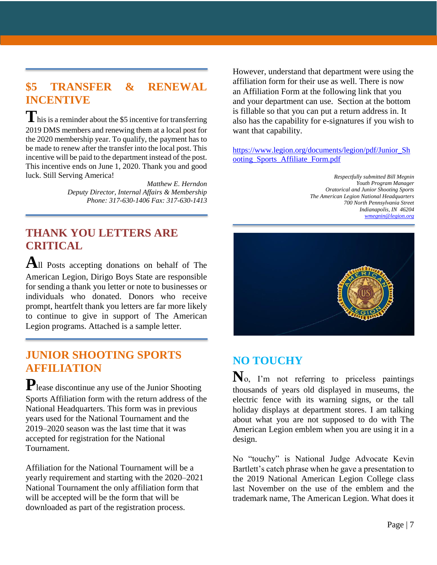## **\$5 TRANSFER & RENEWAL INCENTIVE**

This is a reminder about the \$5 incentive for transferring 2019 DMS members and renewing them at a local post for the 2020 membership year. To qualify, the payment has to be made to renew after the transfer into the local post. This incentive will be paid to the department instead of the post. This incentive ends on June 1, 2020. Thank you and good luck. Still Serving America!

> *Matthew E. Herndon Deputy Director, Internal Affairs & Membership Phone: 317-630-1406 Fax: 317-630-1413*

#### **THANK YOU LETTERS ARE CRITICAL**

**A**ll Posts accepting donations on behalf of The American Legion, Dirigo Boys State are responsible for sending a thank you letter or note to businesses or individuals who donated. Donors who receive prompt, heartfelt thank you letters are far more likely to continue to give in support of The American Legion programs. Attached is a sample letter.

#### **JUNIOR SHOOTING SPORTS AFFILIATION**

**P**lease discontinue any use of the Junior Shooting Sports Affiliation form with the return address of the National Headquarters. This form was in previous years used for the National Tournament and the 2019–2020 season was the last time that it was accepted for registration for the National Tournament.

Affiliation for the National Tournament will be a yearly requirement and starting with the 2020–2021 National Tournament the only affiliation form that will be accepted will be the form that will be downloaded as part of the registration process.

However, understand that department were using the affiliation form for their use as well. There is now an Affiliation Form at the following link that you and your department can use. Section at the bottom is fillable so that you can put a return address in. It also has the capability for e-signatures if you wish to want that capability.

[https://www.legion.org/documents/legion/pdf/Junior\\_Sh](https://www.legion.org/documents/legion/pdf/Junior_Shooting_Sports_Affiliate_Form.pdf) [ooting\\_Sports\\_Affiliate\\_Form.pdf](https://www.legion.org/documents/legion/pdf/Junior_Shooting_Sports_Affiliate_Form.pdf)

> *Respectfully submitted Bill Megnin Youth Program Manager Oratorical and Junior Shooting Sports The American Legion National Headquarters 700 North Pennsylvania Street Indianapolis, IN 46204 [wmegnin@legion.org](mailto:wmegnin@legion.org)*



### **NO TOUCHY**

**N**o, I'm not referring to priceless paintings thousands of years old displayed in museums, the electric fence with its warning signs, or the tall holiday displays at department stores. I am talking about what you are not supposed to do with The American Legion emblem when you are using it in a design.

No "touchy" is National Judge Advocate Kevin Bartlett's catch phrase when he gave a presentation to the 2019 National American Legion College class last November on the use of the emblem and the trademark name, The American Legion. What does it